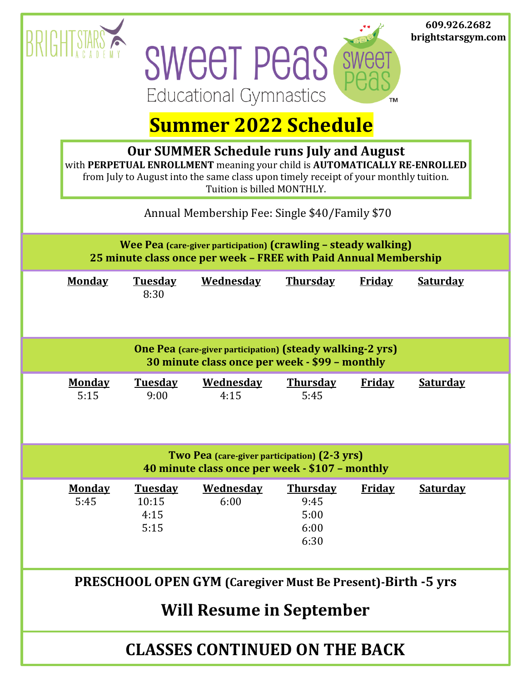|                                                                                                                                                                                                                                                    |                       |                                         |                          |                                                 |               | 609.926.2682<br>brightstarsgym.com |  |  |  |  |  |  |
|----------------------------------------------------------------------------------------------------------------------------------------------------------------------------------------------------------------------------------------------------|-----------------------|-----------------------------------------|--------------------------|-------------------------------------------------|---------------|------------------------------------|--|--|--|--|--|--|
|                                                                                                                                                                                                                                                    |                       |                                         | <b>SWEET PEAS</b>        |                                                 |               |                                    |  |  |  |  |  |  |
| <b>Educational Gymnastics</b><br>TM<br><b>Summer 2022 Schedule</b>                                                                                                                                                                                 |                       |                                         |                          |                                                 |               |                                    |  |  |  |  |  |  |
|                                                                                                                                                                                                                                                    |                       |                                         |                          |                                                 |               |                                    |  |  |  |  |  |  |
| <b>Our SUMMER Schedule runs July and August</b><br>with PERPETUAL ENROLLMENT meaning your child is AUTOMATICALLY RE-ENROLLED<br>from July to August into the same class upon timely receipt of your monthly tuition.<br>Tuition is billed MONTHLY. |                       |                                         |                          |                                                 |               |                                    |  |  |  |  |  |  |
| Annual Membership Fee: Single \$40/Family \$70                                                                                                                                                                                                     |                       |                                         |                          |                                                 |               |                                    |  |  |  |  |  |  |
| Wee Pea (care-giver participation) (crawling - steady walking)<br>25 minute class once per week - FREE with Paid Annual Membership                                                                                                                 |                       |                                         |                          |                                                 |               |                                    |  |  |  |  |  |  |
|                                                                                                                                                                                                                                                    | <b>Monday</b>         | <b>Tuesday</b><br>8:30                  | <b>Wednesday</b>         | <b>Thursday</b>                                 | <b>Friday</b> | <b>Saturday</b>                    |  |  |  |  |  |  |
| <b>One Pea</b> (care-giver participation) (steady walking-2 yrs)<br>30 minute class once per week - \$99 - monthly                                                                                                                                 |                       |                                         |                          |                                                 |               |                                    |  |  |  |  |  |  |
|                                                                                                                                                                                                                                                    | <b>Monday</b><br>5:15 | <b>Tuesday</b><br>9:00                  | <b>Wednesday</b><br>4:15 | <b>Thursday</b><br>5:45                         | <b>Friday</b> | <b>Saturday</b>                    |  |  |  |  |  |  |
| Two Pea (care-giver participation) (2-3 yrs)<br>40 minute class once per week - \$107 - monthly                                                                                                                                                    |                       |                                         |                          |                                                 |               |                                    |  |  |  |  |  |  |
|                                                                                                                                                                                                                                                    | <b>Monday</b><br>5:45 | <b>Tuesday</b><br>10:15<br>4:15<br>5:15 | <b>Wednesday</b><br>6:00 | <b>Thursday</b><br>9:45<br>5:00<br>6:00<br>6:30 | <b>Friday</b> | <b>Saturday</b>                    |  |  |  |  |  |  |
| <b>PRESCHOOL OPEN GYM</b> (Caregiver Must Be Present)-Birth -5 yrs                                                                                                                                                                                 |                       |                                         |                          |                                                 |               |                                    |  |  |  |  |  |  |
| <b>Will Resume in September</b>                                                                                                                                                                                                                    |                       |                                         |                          |                                                 |               |                                    |  |  |  |  |  |  |
| <b>CLASSES CONTINUED ON THE BACK</b>                                                                                                                                                                                                               |                       |                                         |                          |                                                 |               |                                    |  |  |  |  |  |  |